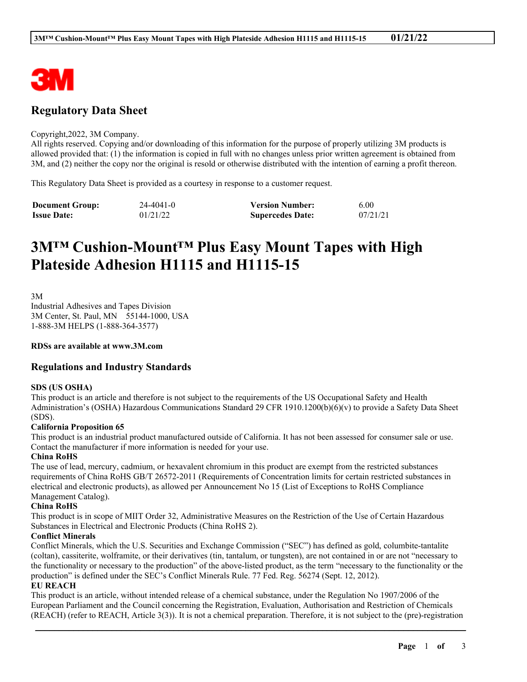

# **Regulatory Data Sheet**

#### Copyright,2022, 3M Company.

All rights reserved. Copying and/or downloading of this information for the purpose of properly utilizing 3M products is allowed provided that: (1) the information is copied in full with no changes unless prior written agreement is obtained from 3M, and (2) neither the copy nor the original is resold or otherwise distributed with the intention of earning a profit thereon.

This Regulatory Data Sheet is provided as a courtesy in response to a customer request.

| <b>Document Group:</b> | 24-4041-0 | <b>Version Number:</b>  | 6.00     |
|------------------------|-----------|-------------------------|----------|
| <b>Issue Date:</b>     | 01/21/22  | <b>Supercedes Date:</b> | 07/21/21 |

# **3M™ Cushion-Mount™ Plus Easy Mount Tapes with High Plateside Adhesion H1115 and H1115-15**

3M

Industrial Adhesives and Tapes Division 3M Center, St. Paul, MN 55144-1000, USA 1-888-3M HELPS (1-888-364-3577)

#### **RDSs are available at www.3M.com**

### **Regulations and Industry Standards**

#### **SDS (US OSHA)**

This product is an article and therefore is not subject to the requirements of the US Occupational Safety and Health Administration's (OSHA) Hazardous Communications Standard 29 CFR 1910.1200(b)(6)(v) to provide a Safety Data Sheet (SDS).

#### **California Proposition 65**

This product is an industrial product manufactured outside of California. It has not been assessed for consumer sale or use. Contact the manufacturer if more information is needed for your use.

#### **China RoHS**

The use of lead, mercury, cadmium, or hexavalent chromium in this product are exempt from the restricted substances requirements of China RoHS GB/T 26572-2011 (Requirements of Concentration limits for certain restricted substances in electrical and electronic products), as allowed per Announcement No 15 (List of Exceptions to RoHS Compliance Management Catalog).

#### **China RoHS**

This product is in scope of MIIT Order 32, Administrative Measures on the Restriction of the Use of Certain Hazardous Substances in Electrical and Electronic Products (China RoHS 2).

#### **Conflict Minerals**

Conflict Minerals, which the U.S. Securities and Exchange Commission ("SEC") has defined as gold, columbite-tantalite (coltan), cassiterite, wolframite, or their derivatives (tin, tantalum, or tungsten), are not contained in or are not "necessary to the functionality or necessary to the production" of the above-listed product, as the term "necessary to the functionality or the production" is defined under the SEC's Conflict Minerals Rule. 77 Fed. Reg. 56274 (Sept. 12, 2012).

## **EU REACH**

This product is an article, without intended release of a chemical substance, under the Regulation No 1907/2006 of the European Parliament and the Council concerning the Registration, Evaluation, Authorisation and Restriction of Chemicals (REACH) (refer to REACH, Article 3(3)). It is not a chemical preparation. Therefore, it is not subject to the (pre)-registration

\_\_\_\_\_\_\_\_\_\_\_\_\_\_\_\_\_\_\_\_\_\_\_\_\_\_\_\_\_\_\_\_\_\_\_\_\_\_\_\_\_\_\_\_\_\_\_\_\_\_\_\_\_\_\_\_\_\_\_\_\_\_\_\_\_\_\_\_\_\_\_\_\_\_\_\_\_\_\_\_\_\_\_\_\_\_\_\_\_\_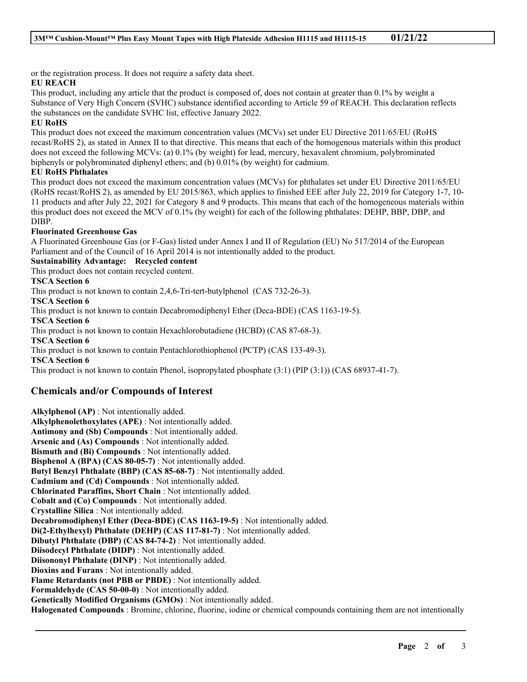or the registration process. It does not require a safety data sheet.

## **EU REACH**

This product, including any article that the product is composed of, does not contain at greater than 0.1% by weight a Substance of Very High Concern (SVHC) substance identified according to Article 59 of REACH. This declaration reflects the substances on the candidate SVHC list, effective January 2022.

## **EU RoHS**

This product does not exceed the maximum concentration values (MCVs) set under EU Directive 2011/65/EU (RoHS recast/RoHS 2), as stated in Annex II to that directive. This means that each of the homogenous materials within this product does not exceed the following MCVs: (a) 0.1% (by weight) for lead, mercury, hexavalent chromium, polybrominated biphenyls or polybrominated diphenyl ethers; and (b) 0.01% (by weight) for cadmium.

## **EU RoHS Phthalates**

This product does not exceed the maximum concentration values (MCVs) for phthalates set under EU Directive 2011/65/EU (RoHS recast/RoHS 2), as amended by EU 2015/863, which applies to finished EEE after July 22, 2019 for Category 1-7, 10- 11 products and after July 22, 2021 for Category 8 and 9 products. This means that each of the homogeneous materials within this product does not exceed the MCV of 0.1% (by weight) for each of the following phthalates: DEHP, BBP, DBP, and DIBP.

## **Fluorinated Greenhouse Gas**

A Fluorinated Greenhouse Gas (or F-Gas) listed under Annex I and II of Regulation (EU) No 517/2014 of the European Parliament and of the Council of 16 April 2014 is not intentionally added to the product.

## **Sustainability Advantage: Recycled content**

This product does not contain recycled content.

**TSCA Section 6**

This product is not known to contain 2,4,6-Tri-tert-butylphenol (CAS 732-26-3).

**TSCA Section 6**

This product is not known to contain Decabromodiphenyl Ether (Deca-BDE) (CAS 1163-19-5).

**TSCA Section 6**

This product is not known to contain Hexachlorobutadiene (HCBD) (CAS 87-68-3).

**TSCA Section 6**

This product is not known to contain Pentachlorothiophenol (PCTP) (CAS 133-49-3).

**TSCA Section 6**

This product is not known to contain Phenol, isopropylated phosphate (3:1) (PIP (3:1)) (CAS 68937-41-7).

## **Chemicals and/or Compounds of Interest**

**Alkylphenol (AP)** : Not intentionally added. **Alkylphenolethoxylates (APE)** : Not intentionally added. **Antimony and (Sb) Compounds** : Not intentionally added. **Arsenic and (As) Compounds** : Not intentionally added. **Bismuth and (Bi) Compounds** : Not intentionally added. **Bisphenol A (BPA) (CAS 80-05-7)** : Not intentionally added. **Butyl Benzyl Phthalate (BBP) (CAS 85-68-7)** : Not intentionally added. **Cadmium and (Cd) Compounds** : Not intentionally added. **Chlorinated Paraffins, Short Chain** : Not intentionally added. **Cobalt and (Co) Compounds** : Not intentionally added. **Crystalline Silica** : Not intentionally added. **Decabromodiphenyl Ether (Deca-BDE) (CAS 1163-19-5)** : Not intentionally added. **Di(2-Ethylhexyl) Phthalate (DEHP) (CAS 117-81-7)** : Not intentionally added. **Dibutyl Phthalate (DBP) (CAS 84-74-2)** : Not intentionally added. **Diisodecyl Phthalate (DIDP)** : Not intentionally added. **Diisononyl Phthalate (DINP)** : Not intentionally added. **Dioxins and Furans** : Not intentionally added. **Flame Retardants (not PBB or PBDE)** : Not intentionally added. **Formaldehyde (CAS 50-00-0)** : Not intentionally added. **Genetically Modified Organisms (GMOs)** : Not intentionally added. **Halogenated Compounds** : Bromine, chlorine, fluorine, iodine or chemical compounds containing them are not intentionally

\_\_\_\_\_\_\_\_\_\_\_\_\_\_\_\_\_\_\_\_\_\_\_\_\_\_\_\_\_\_\_\_\_\_\_\_\_\_\_\_\_\_\_\_\_\_\_\_\_\_\_\_\_\_\_\_\_\_\_\_\_\_\_\_\_\_\_\_\_\_\_\_\_\_\_\_\_\_\_\_\_\_\_\_\_\_\_\_\_\_